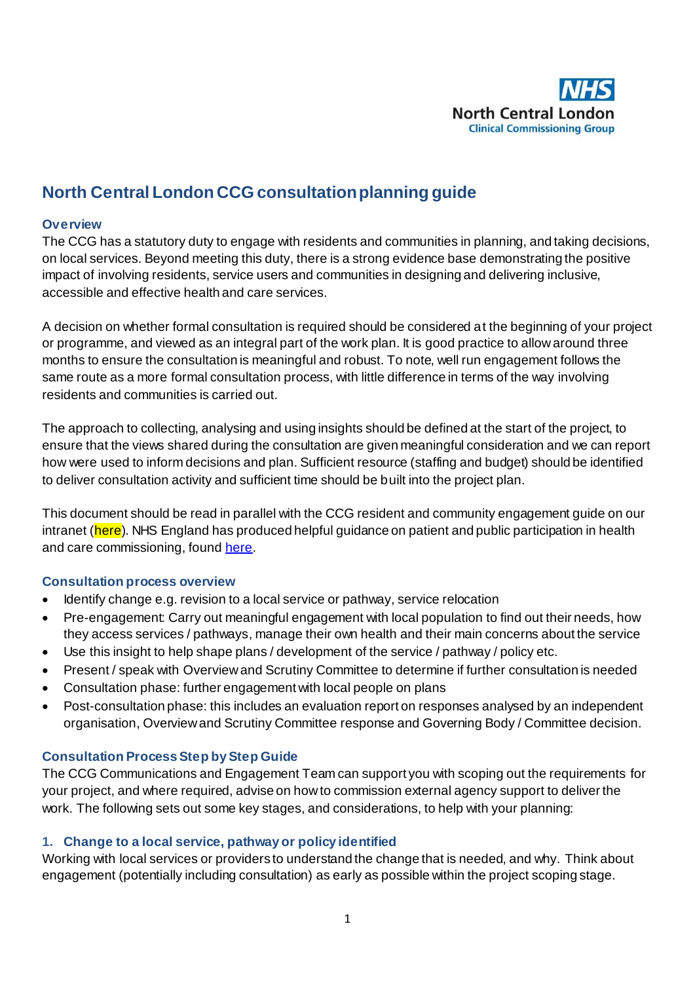

# **North Central London CCG consultation planning guide**

#### **Overview**

The CCG has a statutory duty to engage with residents and communities in planning, and taking decisions, on local services. Beyond meeting this duty, there is a strong evidence base demonstrating the positive impact of involving residents, service users and communities in designing and delivering inclusive, accessible and effective health and care services.

A decision on whether formal consultation is required should be considered at the beginning of your project or programme, and viewed as an integral part of the work plan. It is good practice to allow around three months to ensure the consultation is meaningful and robust. To note, well run engagement follows the same route as a more formal consultation process, with little difference in terms of the way involving residents and communities is carried out.

The approach to collecting, analysing and using insights should be defined at the start of the project, to ensure that the views shared during the consultation are given meaningful consideration and we can report how were used to inform decisions and plan. Sufficient resource (staffing and budget) should be identified to deliver consultation activity and sufficient time should be built into the project plan.

This document should be read in parallel with the CCG resident and community engagement guide on our intranet (here). NHS England has produced helpful guidance on patient and public participation in health and care commissioning, foun[d here](https://www.england.nhs.uk/wp-content/uploads/2017/05/patient-and-public-participation-guidance.pdf).

#### **Consultation process overview**

- Identify change e.g. revision to a local service or pathway, service relocation
- Pre-engagement: Carry out meaningful engagement with local population to find out their needs, how they access services / pathways, manage their own health and their main concerns about the service
- Use this insight to help shape plans / development of the service / pathway / policy etc.
- Present / speak with Overview and Scrutiny Committee to determine if further consultation is needed
- Consultation phase: further engagement with local people on plans
- Post-consultation phase: this includes an evaluation report on responses analysed by an independent organisation, Overview and Scrutiny Committee response and Governing Body / Committee decision.

#### **Consultation Process Step by Step Guide**

The CCG Communications and Engagement Team can support you with scoping out the requirements for your project, and where required, advise on how to commission external agency support to deliver the work. The following sets out some key stages, and considerations, to help with your planning:

#### **1. Change to a local service, pathway or policy identified**

Working with local services or providers to understand the change that is needed, and why. Think about engagement (potentially including consultation) as early as possible within the project scoping stage.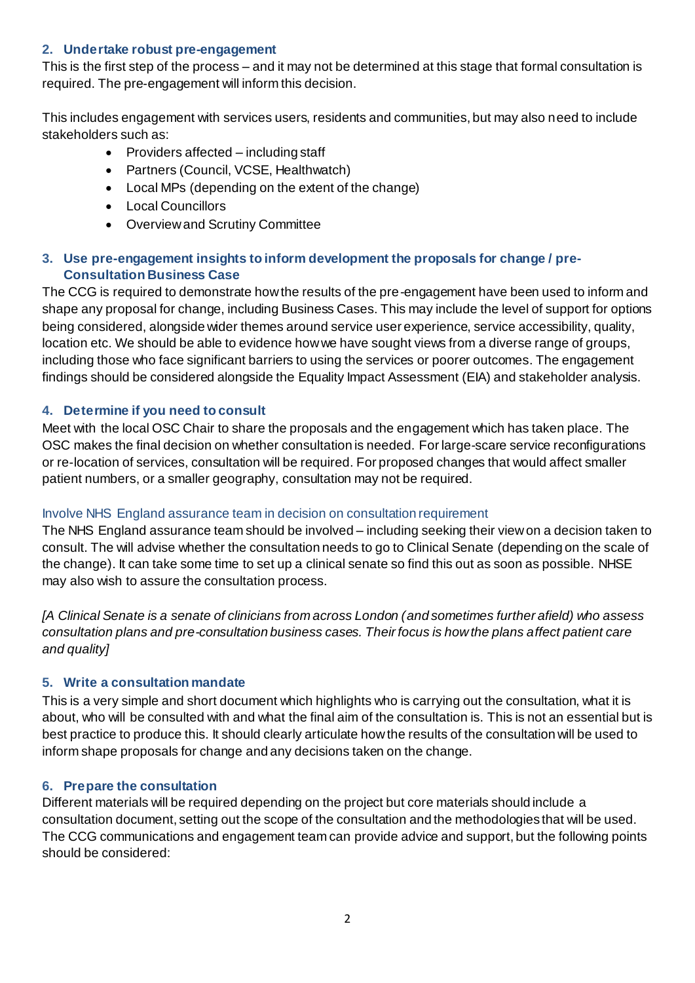### **2. Undertake robust pre-engagement**

This is the first step of the process – and it may not be determined at this stage that formal consultation is required. The pre-engagement will inform this decision.

This includes engagement with services users, residents and communities, but may also need to include stakeholders such as:

- $\bullet$  Providers affected including staff
- Partners (Council, VCSE, Healthwatch)
- Local MPs (depending on the extent of the change)
- Local Councillors
- Overview and Scrutiny Committee

### **3. Use pre-engagement insights to inform development the proposals for change / pre-Consultation Business Case**

The CCG is required to demonstrate how the results of the pre-engagement have been used to inform and shape any proposal for change, including Business Cases. This may include the level of support for options being considered, alongside wider themes around service user experience, service accessibility, quality, location etc. We should be able to evidence how we have sought views from a diverse range of groups, including those who face significant barriers to using the services or poorer outcomes. The engagement findings should be considered alongside the Equality Impact Assessment (EIA) and stakeholder analysis.

#### **4. Determine if you need to consult**

Meet with the local OSC Chair to share the proposals and the engagement which has taken place. The OSC makes the final decision on whether consultation is needed. For large-scare service reconfigurations or re-location of services, consultation will be required. For proposed changes that would affect smaller patient numbers, or a smaller geography, consultation may not be required.

#### Involve NHS England assurance team in decision on consultation requirement

The NHS England assurance team should be involved – including seeking their view on a decision taken to consult. The will advise whether the consultation needs to go to Clinical Senate (depending on the scale of the change). It can take some time to set up a clinical senate so find this out as soon as possible. NHSE may also wish to assure the consultation process.

*[A Clinical Senate is a senate of clinicians from across London (and sometimes further afield) who assess consultation plans and pre-consultation business cases. Their focus is how the plans affect patient care and quality]*

#### **5. Write a consultation mandate**

This is a very simple and short document which highlights who is carrying out the consultation, what it is about, who will be consulted with and what the final aim of the consultation is. This is not an essential but is best practice to produce this. It should clearly articulate how the results of the consultation will be used to inform shape proposals for change and any decisions taken on the change.

#### **6. Prepare the consultation**

Different materials will be required depending on the project but core materials should include a consultation document, setting out the scope of the consultation and the methodologies that will be used. The CCG communications and engagement team can provide advice and support, but the following points should be considered: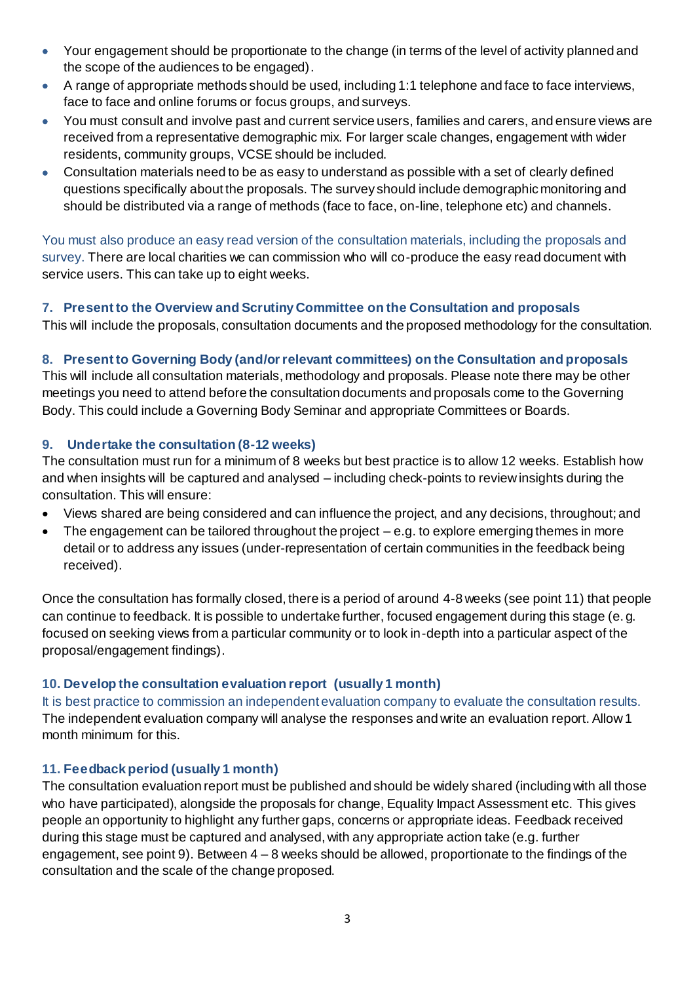- Your engagement should be proportionate to the change (in terms of the level of activity planned and the scope of the audiences to be engaged).
- A range of appropriate methods should be used, including 1:1 telephone and face to face interviews, face to face and online forums or focus groups, and surveys.
- You must consult and involve past and current service users, families and carers, and ensure views are received from a representative demographic mix. For larger scale changes, engagement with wider residents, community groups, VCSE should be included.
- Consultation materials need to be as easy to understand as possible with a set of clearly defined questions specifically about the proposals. The survey should include demographic monitoring and should be distributed via a range of methods (face to face, on-line, telephone etc) and channels.

You must also produce an easy read version of the consultation materials, including the proposals and survey. There are local charities we can commission who will co-produce the easy read document with service users. This can take up to eight weeks.

# **7. Present to the Overview and Scrutiny Committee on the Consultation and proposals**

This will include the proposals, consultation documents and the proposed methodology for the consultation.

# **8. Present to Governing Body (and/or relevant committees) on the Consultation and proposals**

This will include all consultation materials, methodology and proposals. Please note there may be other meetings you need to attend before the consultation documents and proposals come to the Governing Body. This could include a Governing Body Seminar and appropriate Committees or Boards.

# **9. Undertake the consultation (8-12 weeks)**

The consultation must run for a minimum of 8 weeks but best practice is to allow 12 weeks. Establish how and when insights will be captured and analysed – including check-points to review insights during the consultation. This will ensure:

- Views shared are being considered and can influence the project, and any decisions, throughout; and
- $\bullet$  The engagement can be tailored throughout the project  $-e.g.$  to explore emerging themes in more detail or to address any issues (under-representation of certain communities in the feedback being received).

Once the consultation has formally closed, there is a period of around 4-8 weeks (see point 11) that people can continue to feedback. It is possible to undertake further, focused engagement during this stage (e. g. focused on seeking views from a particular community or to look in-depth into a particular aspect of the proposal/engagement findings).

# **10. Develop the consultation evaluation report (usually 1 month)**

It is best practice to commission an independent evaluation company to evaluate the consultation results. The independent evaluation company will analyse the responses and write an evaluation report. Allow 1 month minimum for this.

# **11. Feedback period (usually 1 month)**

The consultation evaluation report must be published and should be widely shared (including with all those who have participated), alongside the proposals for change, Equality Impact Assessment etc. This gives people an opportunity to highlight any further gaps, concerns or appropriate ideas. Feedback received during this stage must be captured and analysed, with any appropriate action take (e.g. further engagement, see point 9). Between 4 – 8 weeks should be allowed, proportionate to the findings of the consultation and the scale of the change proposed.